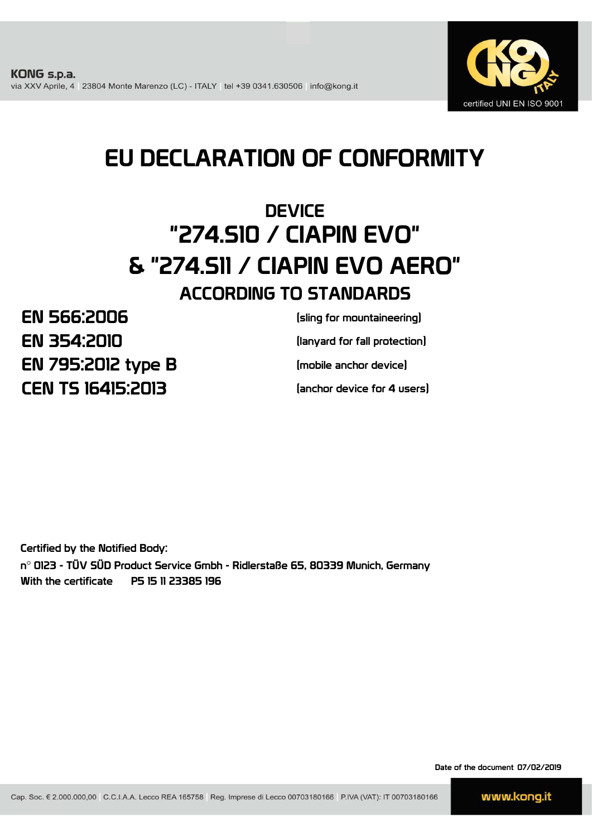

# EU DECLARATION OF CONFORMITY

# **DEVICE** "274.S10 / CIAPIN EVO" & "274.S11 / CIAPIN EVO AERO" ACCORDING TO STANDARDS

EN 795:2012 type B EN 566:2006 CEN TS 16415:2013 EN 354:2010

(lanyard for fall protection) (sling for mountaineering)

(mobile anchor device)

(anchor device for 4 users)

Certified by the Notified Body: n° 0123 - TÜV SÜD Product Service Gmbh - Ridlerstaße 65, 80339 Munich, Germany With the certificate P5 15 11 23385 196

Date of the document 07/02/2019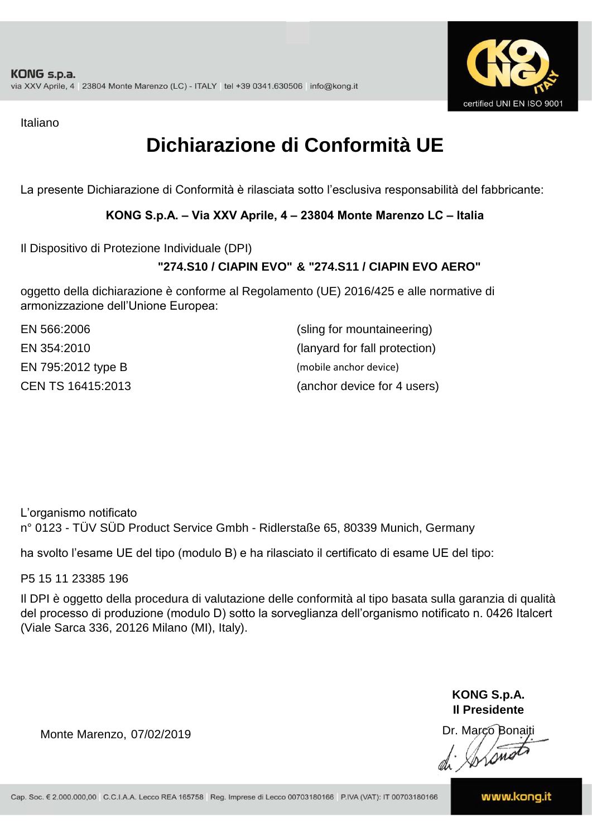

Italiano

# **Dichiarazione di Conformità UE**

La presente Dichiarazione di Conformità è rilasciata sotto l'esclusiva responsabilità del fabbricante:

### **KONG S.p.A. – Via XXV Aprile, 4 – 23804 Monte Marenzo LC – Italia**

Il Dispositivo di Protezione Individuale (DPI)

## **"274.S10 / CIAPIN EVO" & "274.S11 / CIAPIN EVO AERO"**

oggetto della dichiarazione è conforme al Regolamento (UE) 2016/425 e alle normative di armonizzazione dell'Unione Europea:

| EN 566:2006        | (sling for mountaineering)    |
|--------------------|-------------------------------|
| EN 354:2010        | (lanyard for fall protection) |
| EN 795:2012 type B | (mobile anchor device)        |
| CEN TS 16415:2013  | (anchor device for 4 users)   |

L'organismo notificato n° 0123 - TÜV SÜD Product Service Gmbh - Ridlerstaße 65, 80339 Munich, Germany

ha svolto l'esame UE del tipo (modulo B) e ha rilasciato il certificato di esame UE del tipo:

P5 15 11 23385 196

Il DPI è oggetto della procedura di valutazione delle conformità al tipo basata sulla garanzia di qualità del processo di produzione (modulo D) sotto la sorveglianza dell'organismo notificato n. 0426 Italcert (Viale Sarca 336, 20126 Milano (MI), Italy).

> **KONG S.p.A. Il Presidente**

Monte Marenzo, Dr. Marco Bonaiti 07/02/2019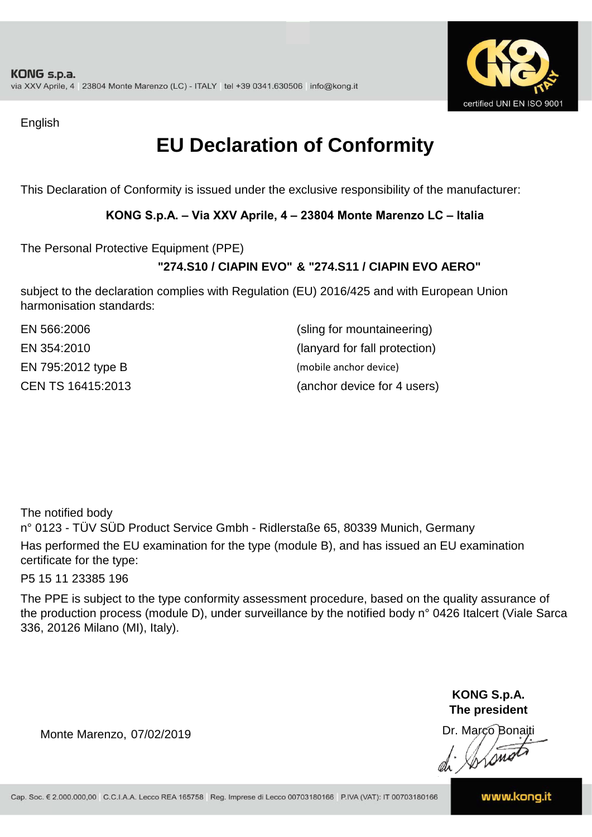

English

# **EU Declaration of Conformity**

This Declaration of Conformity is issued under the exclusive responsibility of the manufacturer:

### **KONG S.p.A. – Via XXV Aprile, 4 – 23804 Monte Marenzo LC – Italia**

The Personal Protective Equipment (PPE)

## **"274.S10 / CIAPIN EVO" & "274.S11 / CIAPIN EVO AERO"**

subject to the declaration complies with Regulation (EU) 2016/425 and with European Union harmonisation standards:

| EN 566:2006        | (sling for mountaineering)    |
|--------------------|-------------------------------|
| EN 354:2010        | (lanyard for fall protection) |
| EN 795:2012 type B | (mobile anchor device)        |
| CEN TS 16415:2013  | (anchor device for 4 users)   |

The notified body

n° 0123 - TÜV SÜD Product Service Gmbh - Ridlerstaße 65, 80339 Munich, Germany Has performed the EU examination for the type (module B), and has issued an EU examination certificate for the type:

P5 15 11 23385 196

The PPE is subject to the type conformity assessment procedure, based on the quality assurance of the production process (module D), under surveillance by the notified body n° 0426 Italcert (Viale Sarca 336, 20126 Milano (MI), Italy).

> **KONG S.p.A. The president**

Dr. Marco Bonaiti di Aromor

Monte Marenzo, 07/02/2019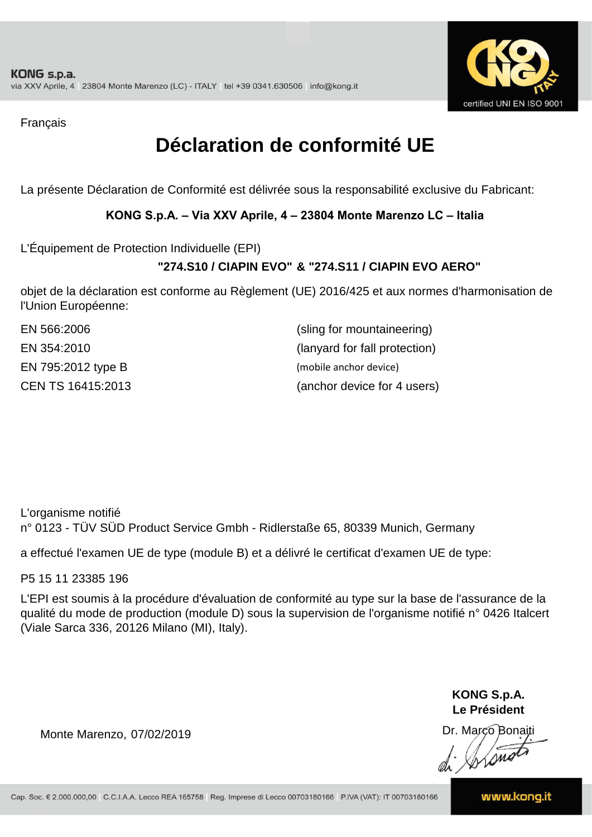

Français

# **Déclaration de conformité UE**

La présente Déclaration de Conformité est délivrée sous la responsabilité exclusive du Fabricant:

### **KONG S.p.A. – Via XXV Aprile, 4 – 23804 Monte Marenzo LC – Italia**

L'Équipement de Protection Individuelle (EPI)

### **"274.S10 / CIAPIN EVO" & "274.S11 / CIAPIN EVO AERO"**

objet de la déclaration est conforme au Règlement (UE) 2016/425 et aux normes d'harmonisation de l'Union Européenne:

| EN 566:2006        | (sling for mountaineering)    |
|--------------------|-------------------------------|
| EN 354:2010        | (lanyard for fall protection) |
| EN 795:2012 type B | (mobile anchor device)        |
| CEN TS 16415:2013  | (anchor device for 4 users)   |

L'organisme notifié n° 0123 - TÜV SÜD Product Service Gmbh - Ridlerstaße 65, 80339 Munich, Germany

a effectué l'examen UE de type (module B) et a délivré le certificat d'examen UE de type:

P5 15 11 23385 196

L'EPI est soumis à la procédure d'évaluation de conformité au type sur la base de l'assurance de la qualité du mode de production (module D) sous la supervision de l'organisme notifié n° 0426 Italcert (Viale Sarca 336, 20126 Milano (MI), Italy).

> **KONG S.p.A. Le Président**

Dr. Marco Bonaiti

Monte Marenzo, 07/02/2019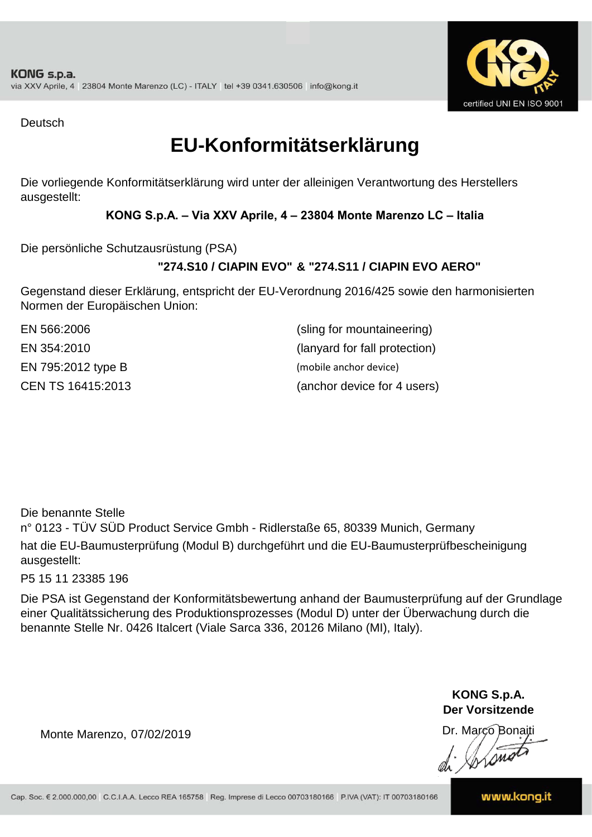

Deutsch

## **EU-Konformitätserklärung**

Die vorliegende Konformitätserklärung wird unter der alleinigen Verantwortung des Herstellers ausgestellt:

### **KONG S.p.A. – Via XXV Aprile, 4 – 23804 Monte Marenzo LC – Italia**

Die persönliche Schutzausrüstung (PSA)

## **"274.S10 / CIAPIN EVO" & "274.S11 / CIAPIN EVO AERO"**

Gegenstand dieser Erklärung, entspricht der EU-Verordnung 2016/425 sowie den harmonisierten Normen der Europäischen Union:

EN 795:2012 type B (mobile anchor device)

EN 354:2010 (lanyard for fall protection) CEN TS 16415:2013 (anchor device for 4 users) EN 566:2006 (sling for mountaineering)

Die benannte Stelle

n° 0123 - TÜV SÜD Product Service Gmbh - Ridlerstaße 65, 80339 Munich, Germany hat die EU-Baumusterprüfung (Modul B) durchgeführt und die EU-Baumusterprüfbescheinigung ausgestellt:

P5 15 11 23385 196

Die PSA ist Gegenstand der Konformitätsbewertung anhand der Baumusterprüfung auf der Grundlage einer Qualitätssicherung des Produktionsprozesses (Modul D) unter der Überwachung durch die benannte Stelle Nr. 0426 Italcert (Viale Sarca 336, 20126 Milano (MI), Italy).

> **KONG S.p.A. Der Vorsitzende**

Dr. Marco Bonaiti

Monte Marenzo, 07/02/2019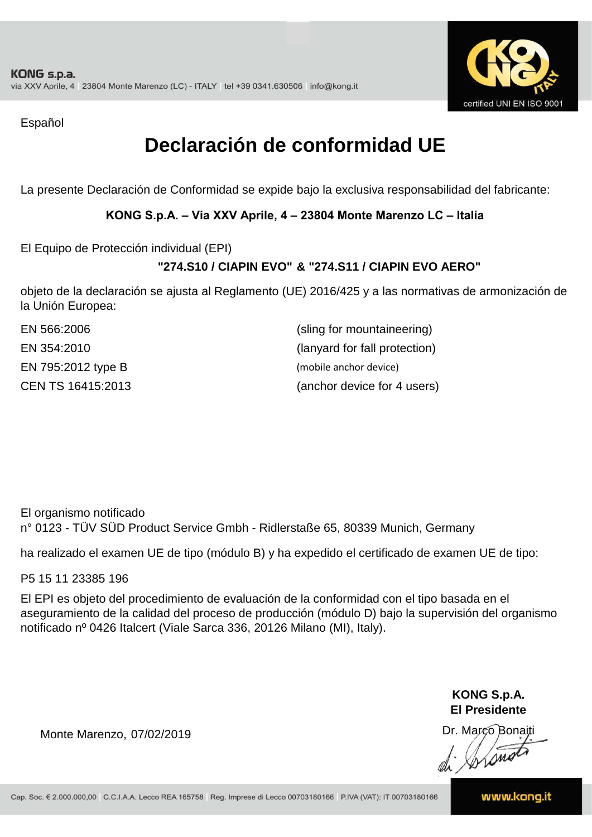

Español

# **Declaración de conformidad UE**

La presente Declaración de Conformidad se expide bajo la exclusiva responsabilidad del fabricante:

### **KONG S.p.A. – Via XXV Aprile, 4 – 23804 Monte Marenzo LC – Italia**

El Equipo de Protección individual (EPI)

## **"274.S10 / CIAPIN EVO" & "274.S11 / CIAPIN EVO AERO"**

objeto de la declaración se ajusta al Reglamento (UE) 2016/425 y a las normativas de armonización de la Unión Europea:

| EN 566:2006        | (sling for mountaineering)    |
|--------------------|-------------------------------|
| EN 354:2010        | (lanyard for fall protection) |
| EN 795:2012 type B | (mobile anchor device)        |
| CEN TS 16415:2013  | (anchor device for 4 users)   |

El organismo notificado n° 0123 - TÜV SÜD Product Service Gmbh - Ridlerstaße 65, 80339 Munich, Germany

ha realizado el examen UE de tipo (módulo B) y ha expedido el certificado de examen UE de tipo:

P5 15 11 23385 196

El EPI es objeto del procedimiento de evaluación de la conformidad con el tipo basada en el aseguramiento de la calidad del proceso de producción (módulo D) bajo la supervisión del organismo notificado nº 0426 Italcert (Viale Sarca 336, 20126 Milano (MI), Italy).

> **KONG S.p.A. El Presidente**

Dr. Marco Bonaiti di Arsnot

Monte Marenzo, 07/02/2019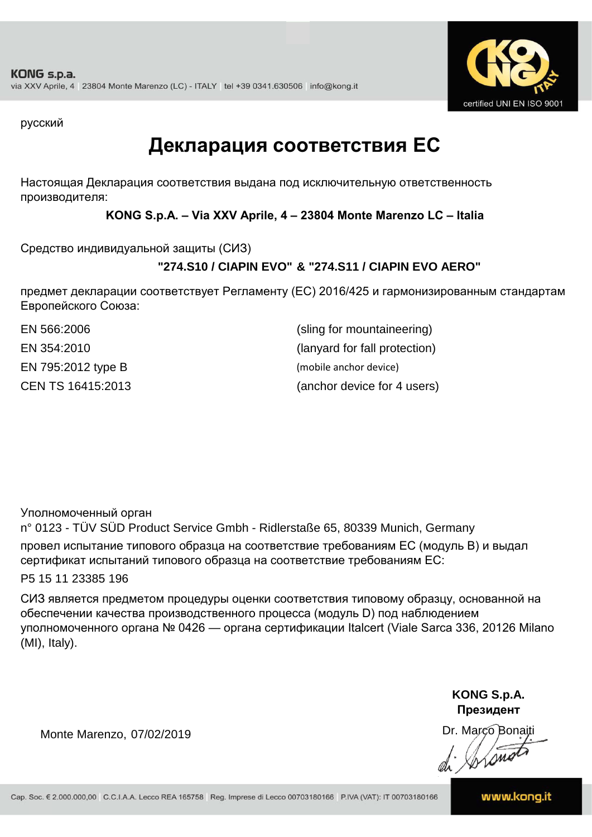

русский

## **Декларация соответствия ЕС**

Настоящая Декларация соответствия выдана под исключительную ответственность производителя:

**KONG S.p.A. – Via XXV Aprile, 4 – 23804 Monte Marenzo LC – Italia**

Средство индивидуальной защиты (СИЗ)

## **"274.S10 / CIAPIN EVO" & "274.S11 / CIAPIN EVO AERO"**

предмет декларации соответствует Регламенту (ЕС) 2016/425 и гармонизированным стандартам Европейского Союза:

CEN TS 16415:2013 (anchor device for 4 users) EN 566:2006 (sling for mountaineering) EN 354:2010 (lanyard for fall protection) EN 795:2012 type B (mobile anchor device)

Уполномоченный орган

n° 0123 - TÜV SÜD Product Service Gmbh - Ridlerstaße 65, 80339 Munich, Germany провел испытание типового образца на соответствие требованиям ЕС (модуль B) и выдал сертификат испытаний типового образца на соответствие требованиям ЕС:

P5 15 11 23385 196

СИЗ является предметом процедуры оценки соответствия типовому образцу, основанной на обеспечении качества производственного процесса (модуль D) под наблюдением уполномоченного органа № 0426 — органа сертификации Italcert (Viale Sarca 336, 20126 Milano (MI), Italy).

> **KONG S.p.A. Президент**

Dr. Marco Bonaiti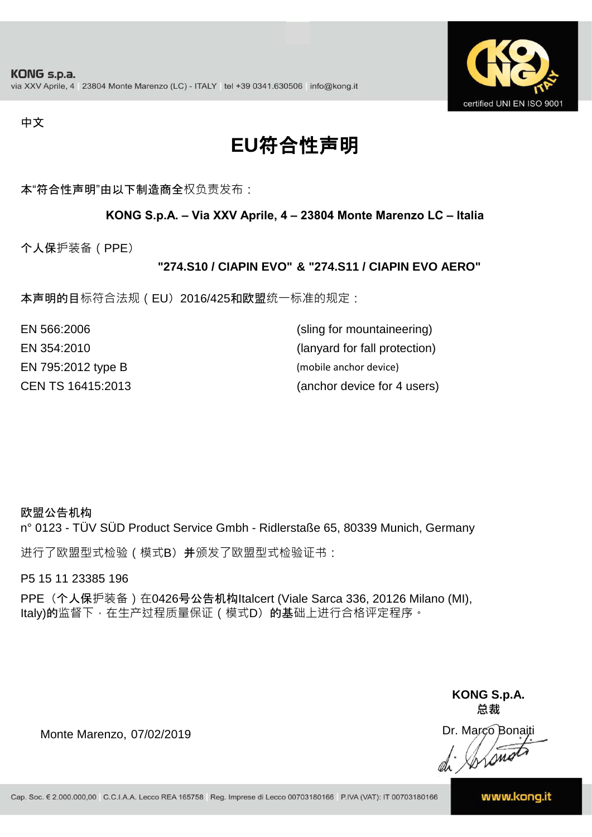

#### 中文

# **EU**符合性声明

本"符合性声明"由以下制造商全权负责发布:

#### **KONG S.p.A. – Via XXV Aprile, 4 – 23804 Monte Marenzo LC – Italia**

个人保护装备(PPE)

#### **"274.S10 / CIAPIN EVO" & "274.S11 / CIAPIN EVO AERO"**

本声明的目标符合法规(EU) 2016/425和欧盟统一标准的规定:

| EN 566:2006        | (sling for mountaineering)    |
|--------------------|-------------------------------|
| EN 354:2010        | (lanyard for fall protection) |
| EN 795:2012 type B | (mobile anchor device)        |
| CEN TS 16415:2013  | (anchor device for 4 users)   |

#### 欧盟公告机构

n° 0123 - TÜV SÜD Product Service Gmbh - Ridlerstaße 65, 80339 Munich, Germany

进行了欧盟型式检验(模式B) 并颁发了欧盟型式检验证书:

P5 15 11 23385 196

PPE (个人保护装备) 在0426号公告机构Italcert (Viale Sarca 336, 20126 Milano (MI), Italy)的监督下, 在生产过程质量保证 ( 模式D) 的基础上进行合格评定程序。

> **KONG S.p.A. 总裁**

Dr. Marco Bonaiti di Simon

Monte Marenzo, 07/02/2019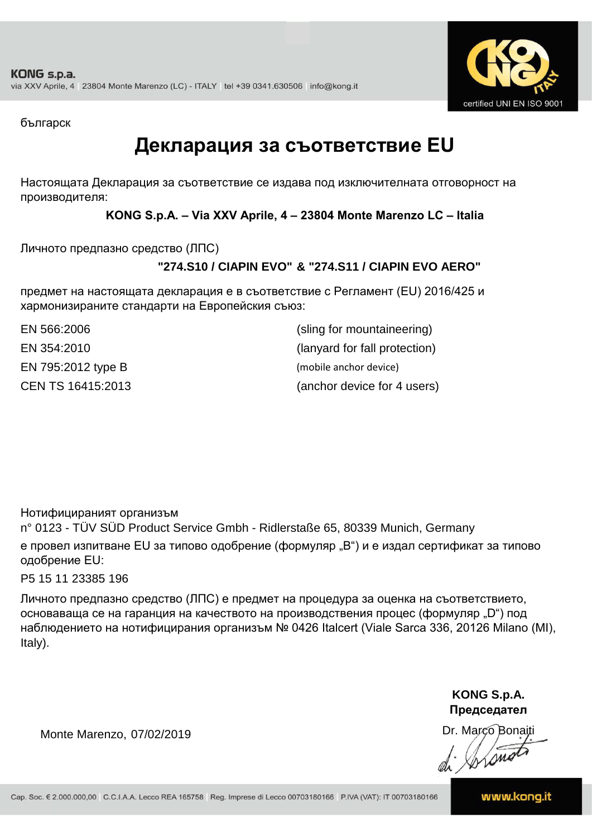

българск

## **Декларация за съответствие EU**

Настоящата Декларация за съответствие се издава под изключителната отговорност на производителя:

**KONG S.p.A. – Via XXV Aprile, 4 – 23804 Monte Marenzo LC – Italia**

Личното предпазно средство (ЛПС)

## **"274.S10 / CIAPIN EVO" & "274.S11 / CIAPIN EVO AERO"**

предмет на настоящата декларация е в съответствие с Регламент (ЕU) 2016/425 и хармонизираните стандарти на Европейския съюз:

EN 795:2012 type B (mobile anchor device) CEN TS 16415:2013

(anchor device for 4 users) EN 566:2006 (sling for mountaineering) EN 354:2010 (lanyard for fall protection)

Нотифицираният организъм

n° 0123 - TÜV SÜD Product Service Gmbh - Ridlerstaße 65, 80339 Munich, Germany е провел изпитване EU за типово одобрение (формуляр "B") и е издал сертификат за типово одобрение ЕU:

P5 15 11 23385 196

Личното предпазно средство (ЛПС) е предмет на процедура за оценка на съответствието, основаваща се на гаранция на качеството на производствения процес (формуляр "D") под наблюдението на нотифицирания организъм № 0426 Italcert (Viale Sarca 336, 20126 Milano (MI), Italy).

> **KONG S.p.A. Председател**

Dr. Marco Bonaiti di Aromor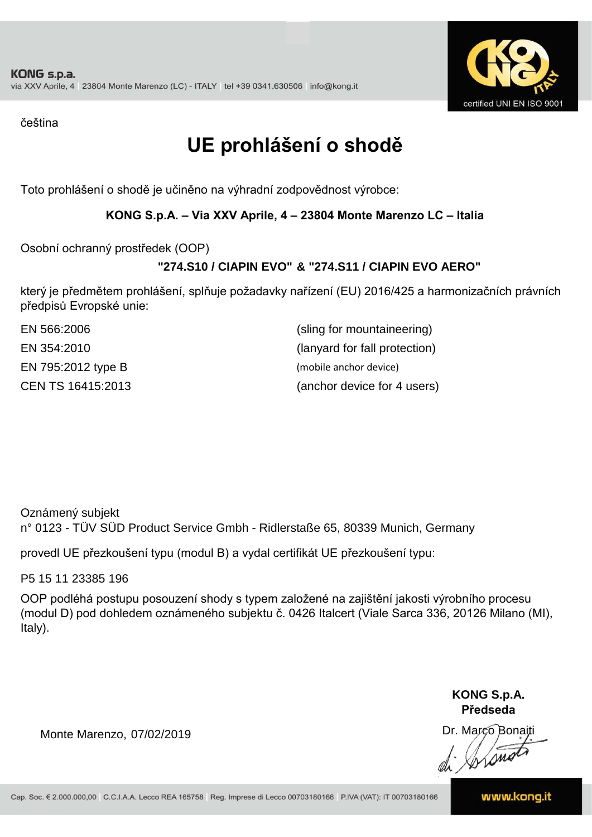

čeština

# **UE prohlášení o shodě**

Toto prohlášení o shodě je učiněno na výhradní zodpovědnost výrobce:

### **KONG S.p.A. – Via XXV Aprile, 4 – 23804 Monte Marenzo LC – Italia**

Osobní ochranný prostředek (OOP)

## **"274.S10 / CIAPIN EVO" & "274.S11 / CIAPIN EVO AERO"**

který je předmětem prohlášení, splňuje požadavky nařízení (EU) 2016/425 a harmonizačních právních předpisů Evropské unie:

| EN 566:2006        | (sling for mountaineering)    |
|--------------------|-------------------------------|
| EN 354:2010        | (lanyard for fall protection) |
| EN 795:2012 type B | (mobile anchor device)        |
| CEN TS 16415:2013  | (anchor device for 4 users)   |

Oznámený subjekt n° 0123 - TÜV SÜD Product Service Gmbh - Ridlerstaße 65, 80339 Munich, Germany

provedl UE přezkoušení typu (modul B) a vydal certifikát UE přezkoušení typu:

P5 15 11 23385 196

OOP podléhá postupu posouzení shody s typem založené na zajištění jakosti výrobního procesu (modul D) pod dohledem oznámeného subjektu č. 0426 Italcert (Viale Sarca 336, 20126 Milano (MI), Italy).

> **KONG S.p.A. Předseda**

Dr. Marco Bonaiti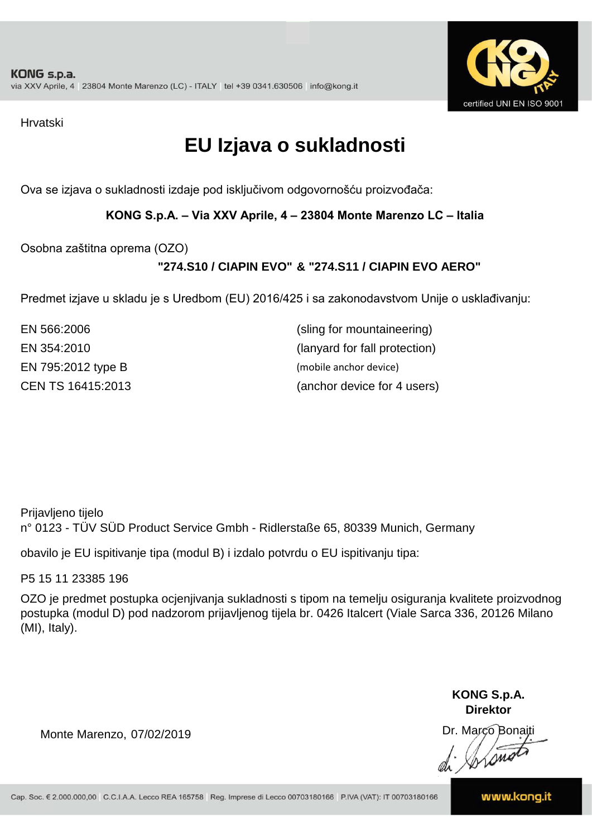

Hrvatski

# **EU Izjava o sukladnosti**

Ova se izjava o sukladnosti izdaje pod isključivom odgovornošću proizvođača:

**KONG S.p.A. – Via XXV Aprile, 4 – 23804 Monte Marenzo LC – Italia**

Osobna zaštitna oprema (OZO)

## **"274.S10 / CIAPIN EVO" & "274.S11 / CIAPIN EVO AERO"**

Predmet izjave u skladu je s Uredbom (EU) 2016/425 i sa zakonodavstvom Unije o usklađivanju:

EN 566:2006 (sling for mountaineering) EN 354:2010 (lanyard for fall protection) EN 795:2012 type B (mobile anchor device) CEN TS 16415:2013

(anchor device for 4 users)

Prijavljeno tijelo n° 0123 - TÜV SÜD Product Service Gmbh - Ridlerstaße 65, 80339 Munich, Germany

obavilo je EU ispitivanje tipa (modul B) i izdalo potvrdu o EU ispitivanju tipa:

P5 15 11 23385 196

OZO je predmet postupka ocjenjivanja sukladnosti s tipom na temelju osiguranja kvalitete proizvodnog postupka (modul D) pod nadzorom prijavljenog tijela br. 0426 Italcert (Viale Sarca 336, 20126 Milano (MI), Italy).

> **KONG S.p.A. Direktor**

Dr. Marco Bonaiti di Simon

Monte Marenzo, 07/02/2019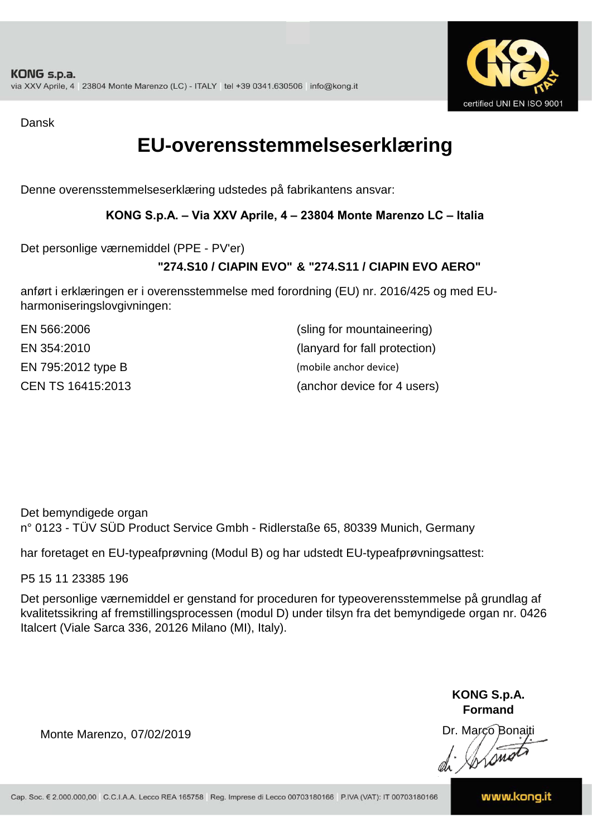

Dansk

## **EU-overensstemmelseserklæring**

Denne overensstemmelseserklæring udstedes på fabrikantens ansvar:

### **KONG S.p.A. – Via XXV Aprile, 4 – 23804 Monte Marenzo LC – Italia**

Det personlige værnemiddel (PPE - PV'er)

## **"274.S10 / CIAPIN EVO" & "274.S11 / CIAPIN EVO AERO"**

anført i erklæringen er i overensstemmelse med forordning (EU) nr. 2016/425 og med EUharmoniseringslovgivningen:

| EN 566:2006        | (sling for mountaineering)    |
|--------------------|-------------------------------|
| EN 354:2010        | (lanyard for fall protection) |
| EN 795:2012 type B | (mobile anchor device)        |
| CEN TS 16415:2013  | (anchor device for 4 users)   |

Det bemyndigede organ n° 0123 - TÜV SÜD Product Service Gmbh - Ridlerstaße 65, 80339 Munich, Germany

har foretaget en EU-typeafprøvning (Modul B) og har udstedt EU-typeafprøvningsattest:

P5 15 11 23385 196

Det personlige værnemiddel er genstand for proceduren for typeoverensstemmelse på grundlag af kvalitetssikring af fremstillingsprocessen (modul D) under tilsyn fra det bemyndigede organ nr. 0426 Italcert (Viale Sarca 336, 20126 Milano (MI), Italy).

> **KONG S.p.A. Formand**

Dr. Marco Bonaiti di Aromor

Monte Marenzo, 07/02/2019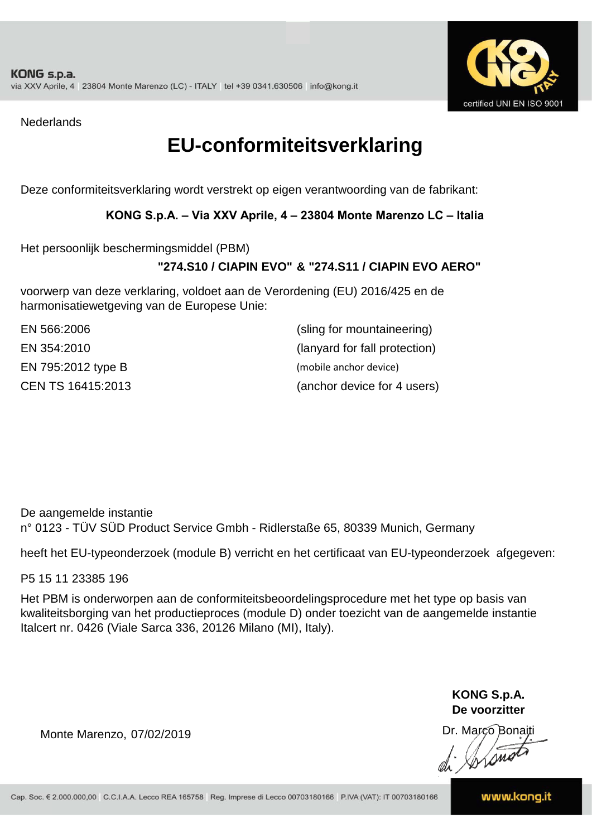

**Nederlands** 

## **EU-conformiteitsverklaring**

Deze conformiteitsverklaring wordt verstrekt op eigen verantwoording van de fabrikant:

### **KONG S.p.A. – Via XXV Aprile, 4 – 23804 Monte Marenzo LC – Italia**

Het persoonlijk beschermingsmiddel (PBM)

### **"274.S10 / CIAPIN EVO" & "274.S11 / CIAPIN EVO AERO"**

voorwerp van deze verklaring, voldoet aan de Verordening (EU) 2016/425 en de harmonisatiewetgeving van de Europese Unie:

| EN 566:2006        | (sling for mountaineering)    |
|--------------------|-------------------------------|
| EN 354:2010        | (lanyard for fall protection) |
| EN 795:2012 type B | (mobile anchor device)        |
| CEN TS 16415:2013  | (anchor device for 4 users)   |

De aangemelde instantie n° 0123 - TÜV SÜD Product Service Gmbh - Ridlerstaße 65, 80339 Munich, Germany

heeft het EU-typeonderzoek (module B) verricht en het certificaat van EU-typeonderzoek afgegeven:

P5 15 11 23385 196

Het PBM is onderworpen aan de conformiteitsbeoordelingsprocedure met het type op basis van kwaliteitsborging van het productieproces (module D) onder toezicht van de aangemelde instantie Italcert nr. 0426 (Viale Sarca 336, 20126 Milano (MI), Italy).

> **KONG S.p.A. De voorzitter**

Dr. Marco Bonaiti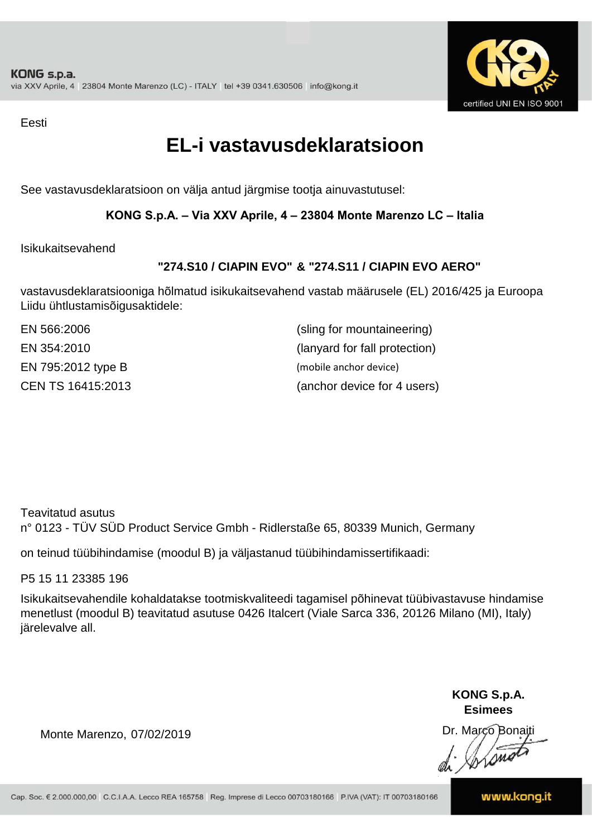

Eesti

## **EL-i vastavusdeklaratsioon**

See vastavusdeklaratsioon on välja antud järgmise tootja ainuvastutusel:

### **KONG S.p.A. – Via XXV Aprile, 4 – 23804 Monte Marenzo LC – Italia**

Isikukaitsevahend

## **"274.S10 / CIAPIN EVO" & "274.S11 / CIAPIN EVO AERO"**

vastavusdeklaratsiooniga hõlmatud isikukaitsevahend vastab määrusele (EL) 2016/425 ja Euroopa Liidu ühtlustamisõigusaktidele:

| EN 566:2006        | (sling for mountaineering)    |
|--------------------|-------------------------------|
| EN 354:2010        | (lanyard for fall protection) |
| EN 795:2012 type B | (mobile anchor device)        |
| CEN TS 16415:2013  | (anchor device for 4 users)   |

Teavitatud asutus n° 0123 - TÜV SÜD Product Service Gmbh - Ridlerstaße 65, 80339 Munich, Germany

on teinud tüübihindamise (moodul B) ja väljastanud tüübihindamissertifikaadi:

P5 15 11 23385 196

Isikukaitsevahendile kohaldatakse tootmiskvaliteedi tagamisel põhinevat tüübivastavuse hindamise menetlust (moodul B) teavitatud asutuse 0426 Italcert (Viale Sarca 336, 20126 Milano (MI), Italy) järelevalve all.

> **KONG S.p.A. Esimees**

Dr. Marco Bonaiti di Stono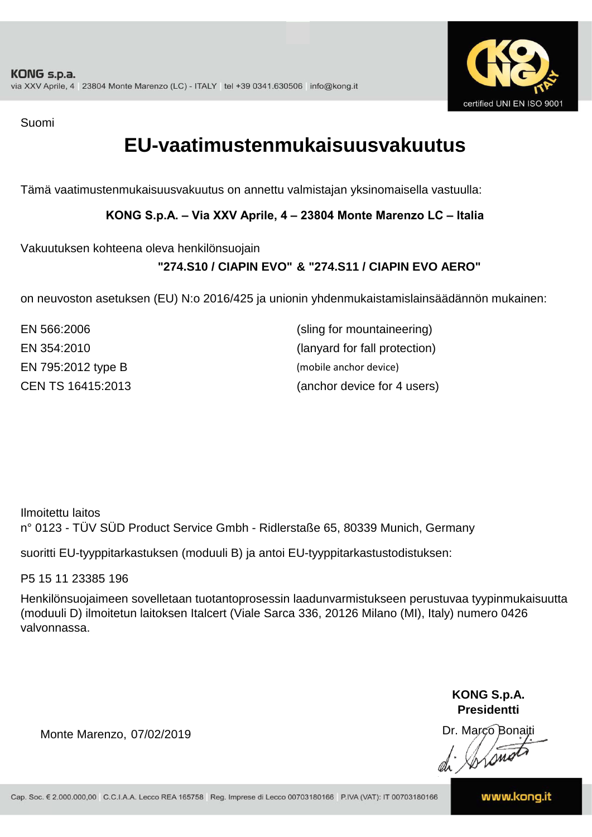

Suomi

## **EU-vaatimustenmukaisuusvakuutus**

Tämä vaatimustenmukaisuusvakuutus on annettu valmistajan yksinomaisella vastuulla:

### **KONG S.p.A. – Via XXV Aprile, 4 – 23804 Monte Marenzo LC – Italia**

Vakuutuksen kohteena oleva henkilönsuojain

## **"274.S10 / CIAPIN EVO" & "274.S11 / CIAPIN EVO AERO"**

on neuvoston asetuksen (EU) N:o 2016/425 ja unionin yhdenmukaistamislainsäädännön mukainen:

| EN 566:2006        | (sling for mountaineering)    |
|--------------------|-------------------------------|
| EN 354:2010        | (lanyard for fall protection) |
| EN 795:2012 type B | (mobile anchor device)        |
| CEN TS 16415:2013  | (anchor device for 4 users)   |

Ilmoitettu laitos n° 0123 - TÜV SÜD Product Service Gmbh - Ridlerstaße 65, 80339 Munich, Germany

suoritti EU-tyyppitarkastuksen (moduuli B) ja antoi EU-tyyppitarkastustodistuksen:

P5 15 11 23385 196

Henkilönsuojaimeen sovelletaan tuotantoprosessin laadunvarmistukseen perustuvaa tyypinmukaisuutta (moduuli D) ilmoitetun laitoksen Italcert (Viale Sarca 336, 20126 Milano (MI), Italy) numero 0426 valvonnassa.

> **KONG S.p.A. Presidentti**

Dr. Marco Bonaiti di Simon

Monte Marenzo, 07/02/2019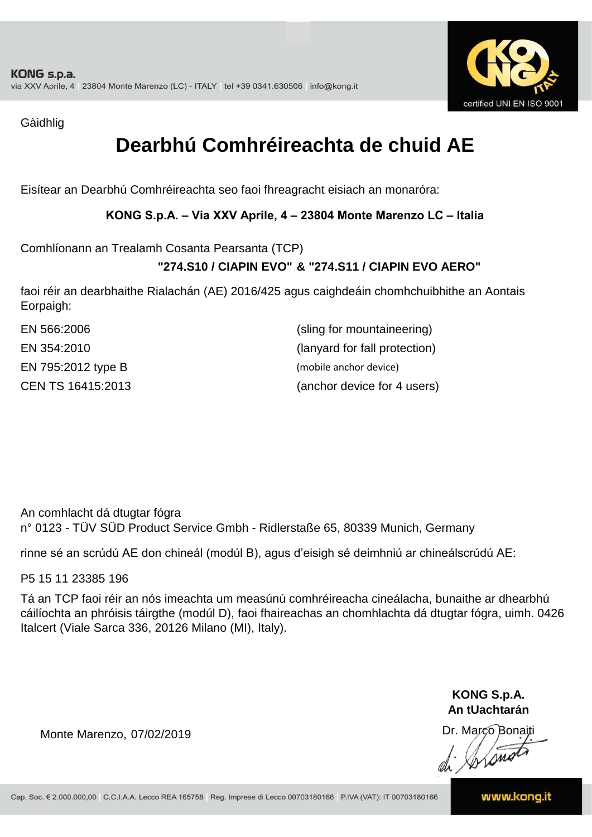

Gàidhlig

# **Dearbhú Comhréireachta de chuid AE**

Eisítear an Dearbhú Comhréireachta seo faoi fhreagracht eisiach an monaróra:

### **KONG S.p.A. – Via XXV Aprile, 4 – 23804 Monte Marenzo LC – Italia**

Comhlíonann an Trealamh Cosanta Pearsanta (TCP)

## **"274.S10 / CIAPIN EVO" & "274.S11 / CIAPIN EVO AERO"**

faoi réir an dearbhaithe Rialachán (AE) 2016/425 agus caighdeáin chomhchuibhithe an Aontais Eorpaigh:

| EN 566:2006        | (sling for mountaineering)    |
|--------------------|-------------------------------|
| EN 354:2010        | (lanyard for fall protection) |
| EN 795:2012 type B | (mobile anchor device)        |
| CEN TS 16415:2013  | (anchor device for 4 users)   |

An comhlacht dá dtugtar fógra n° 0123 - TÜV SÜD Product Service Gmbh - Ridlerstaße 65, 80339 Munich, Germany

rinne sé an scrúdú AE don chineál (modúl B), agus d'eisigh sé deimhniú ar chineálscrúdú AE:

P5 15 11 23385 196

Tá an TCP faoi réir an nós imeachta um measúnú comhréireacha cineálacha, bunaithe ar dhearbhú cáilíochta an phróisis táirgthe (modúl D), faoi fhaireachas an chomhlachta dá dtugtar fógra, uimh. 0426 Italcert (Viale Sarca 336, 20126 Milano (MI), Italy).

> **KONG S.p.A. An tUachtarán**

Dr. Marco Bonaiti di Stono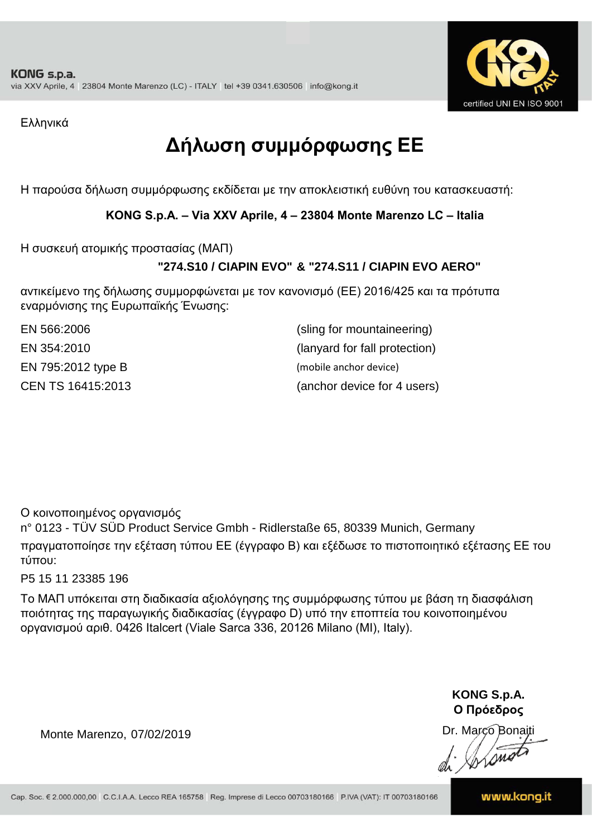

Ελληνικά

# **Δήλωση συμμόρφωσης ΕE**

Η παρούσα δήλωση συμμόρφωσης εκδίδεται με την αποκλειστική ευθύνη του κατασκευαστή:

**KONG S.p.A. – Via XXV Aprile, 4 – 23804 Monte Marenzo LC – Italia**

Η συσκευή ατομικής προστασίας (ΜΑΠ)

## **"274.S10 / CIAPIN EVO" & "274.S11 / CIAPIN EVO AERO"**

αντικείμενο της δήλωσης συμμορφώνεται με τον κανονισμό (ΕΕ) 2016/425 και τα πρότυπα εναρμόνισης της Ευρωπαϊκής Ένωσης:

EN 795:2012 type B (mobile anchor device) CEN TS 16415:2013

(anchor device for 4 users) EN 566:2006 (sling for mountaineering) EN 354:2010 (lanyard for fall protection)

Ο κοινοποιημένος οργανισμός

n° 0123 - TÜV SÜD Product Service Gmbh - Ridlerstaße 65, 80339 Munich, Germany πραγματοποίησε την εξέταση τύπου ΕΕ (έγγραφο Β) και εξέδωσε το πιστοποιητικό εξέτασης ΕΕ του τύπου:

P5 15 11 23385 196

Το ΜΑΠ υπόκειται στη διαδικασία αξιολόγησης της συμμόρφωσης τύπου με βάση τη διασφάλιση ποιότητας της παραγωγικής διαδικασίας (έγγραφο D) υπό την εποπτεία του κοινοποιημένου οργανισμού αριθ. 0426 Italcert (Viale Sarca 336, 20126 Milano (MI), Italy).

> **KONG S.p.A. Ο Πρόεδρος**

Dr. Marco Bonaiti di Aromor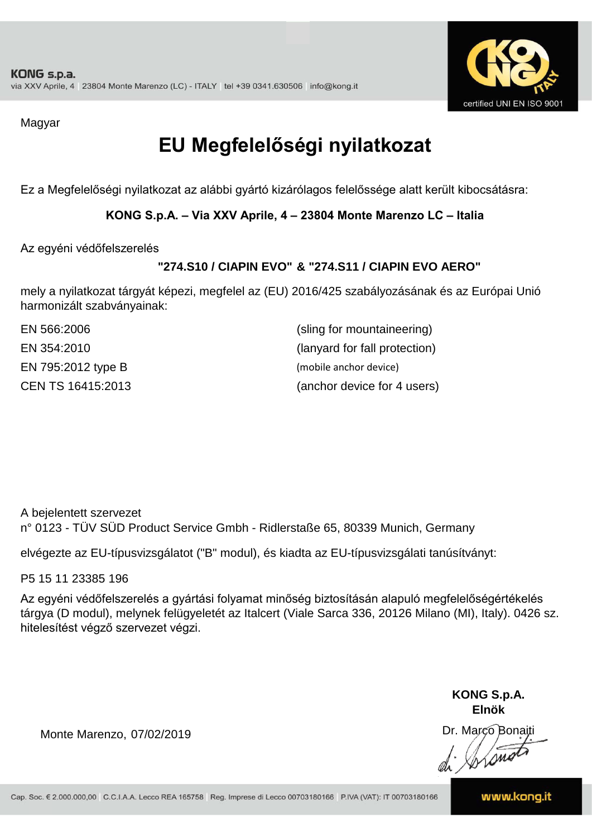

Magyar

# **EU Megfelelőségi nyilatkozat**

Ez a Megfelelőségi nyilatkozat az alábbi gyártó kizárólagos felelőssége alatt került kibocsátásra:

**KONG S.p.A. – Via XXV Aprile, 4 – 23804 Monte Marenzo LC – Italia**

Az egyéni védőfelszerelés

## **"274.S10 / CIAPIN EVO" & "274.S11 / CIAPIN EVO AERO"**

mely a nyilatkozat tárgyát képezi, megfelel az (EU) 2016/425 szabályozásának és az Európai Unió harmonizált szabványainak:

| EN 566:2006        | (sling for mountaineering)    |
|--------------------|-------------------------------|
| EN 354:2010        | (lanyard for fall protection) |
| EN 795:2012 type B | (mobile anchor device)        |
| CEN TS 16415:2013  | (anchor device for 4 users)   |

A bejelentett szervezet n° 0123 - TÜV SÜD Product Service Gmbh - Ridlerstaße 65, 80339 Munich, Germany

elvégezte az EU-típusvizsgálatot ("B" modul), és kiadta az EU-típusvizsgálati tanúsítványt:

P5 15 11 23385 196

Az egyéni védőfelszerelés a gyártási folyamat minőség biztosításán alapuló megfelelőségértékelés tárgya (D modul), melynek felügyeletét az Italcert (Viale Sarca 336, 20126 Milano (MI), Italy). 0426 sz. hitelesítést végző szervezet végzi.

> **KONG S.p.A. Elnök**

Dr. Marco Bonaiti di Aromor

Monte Marenzo, 07/02/2019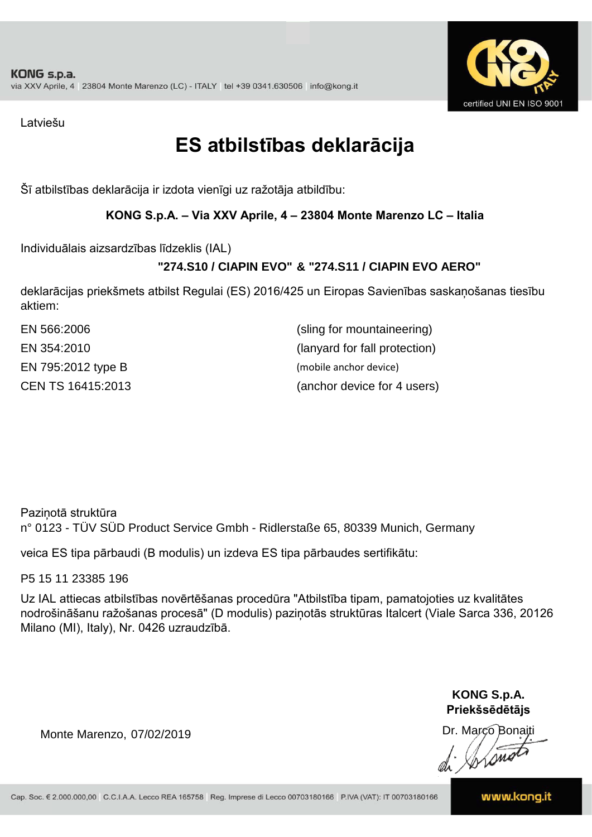

Latviešu

# **ES atbilstības deklarācija**

Šī atbilstības deklarācija ir izdota vienīgi uz ražotāja atbildību:

### **KONG S.p.A. – Via XXV Aprile, 4 – 23804 Monte Marenzo LC – Italia**

Individuālais aizsardzības līdzeklis (IAL)

## **"274.S10 / CIAPIN EVO" & "274.S11 / CIAPIN EVO AERO"**

deklarācijas priekšmets atbilst Regulai (ES) 2016/425 un Eiropas Savienības saskaņošanas tiesību aktiem:

| EN 566:2006        | (sling for mountaineering)    |
|--------------------|-------------------------------|
| EN 354:2010        | (lanyard for fall protection) |
| EN 795:2012 type B | (mobile anchor device)        |
| CEN TS 16415:2013  | (anchor device for 4 users)   |

Paziņotā struktūra n° 0123 - TÜV SÜD Product Service Gmbh - Ridlerstaße 65, 80339 Munich, Germany

veica ES tipa pārbaudi (B modulis) un izdeva ES tipa pārbaudes sertifikātu:

P5 15 11 23385 196

Uz IAL attiecas atbilstības novērtēšanas procedūra "Atbilstība tipam, pamatojoties uz kvalitātes nodrošināšanu ražošanas procesā" (D modulis) paziņotās struktūras Italcert (Viale Sarca 336, 20126 Milano (MI), Italy), Nr. 0426 uzraudzībā.

> **KONG S.p.A. Priekšsēdētājs**

Dr. Marco Bonaiti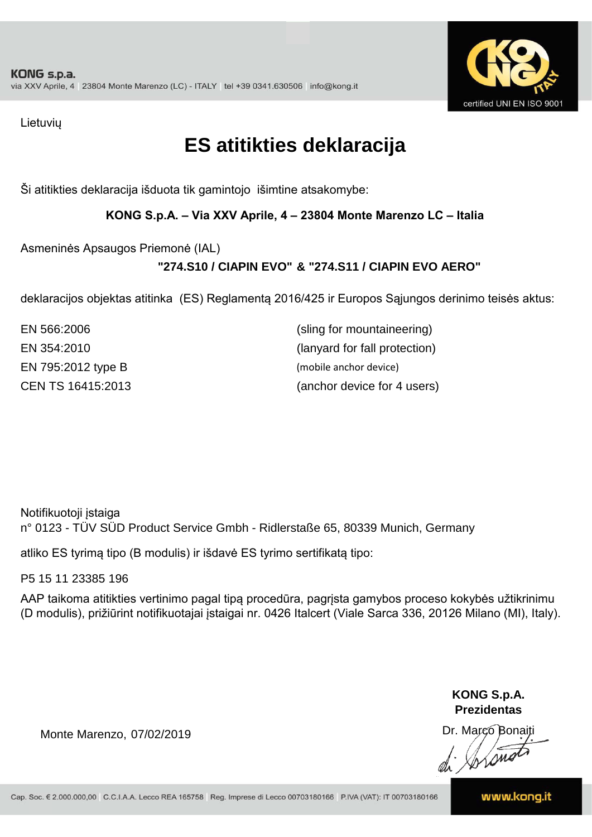

Lietuvių

## **ES atitikties deklaracija**

Ši atitikties deklaracija išduota tik gamintojo išimtine atsakomybe:

**KONG S.p.A. – Via XXV Aprile, 4 – 23804 Monte Marenzo LC – Italia**

Asmeninės Apsaugos Priemonė (IAL)

## **"274.S10 / CIAPIN EVO" & "274.S11 / CIAPIN EVO AERO"**

deklaracijos objektas atitinka (ES) Reglamentą 2016/425 ir Europos Sąjungos derinimo teisės aktus:

EN 354:2010 (lanyard for fall protection) EN 795:2012 type B (mobile anchor device) CEN TS 16415:2013 (anchor device for 4 users) EN 566:2006 (sling for mountaineering)

Notifikuotoji įstaiga n° 0123 - TÜV SÜD Product Service Gmbh - Ridlerstaße 65, 80339 Munich, Germany

atliko ES tyrimą tipo (B modulis) ir išdavė ES tyrimo sertifikatą tipo:

P5 15 11 23385 196

AAP taikoma atitikties vertinimo pagal tipą procedūra, pagrįsta gamybos proceso kokybės užtikrinimu (D modulis), prižiūrint notifikuotajai įstaigai nr. 0426 Italcert (Viale Sarca 336, 20126 Milano (MI), Italy).

> **KONG S.p.A. Prezidentas**

Dr. Marco Bonaiti di Arono

Monte Marenzo, 07/02/2019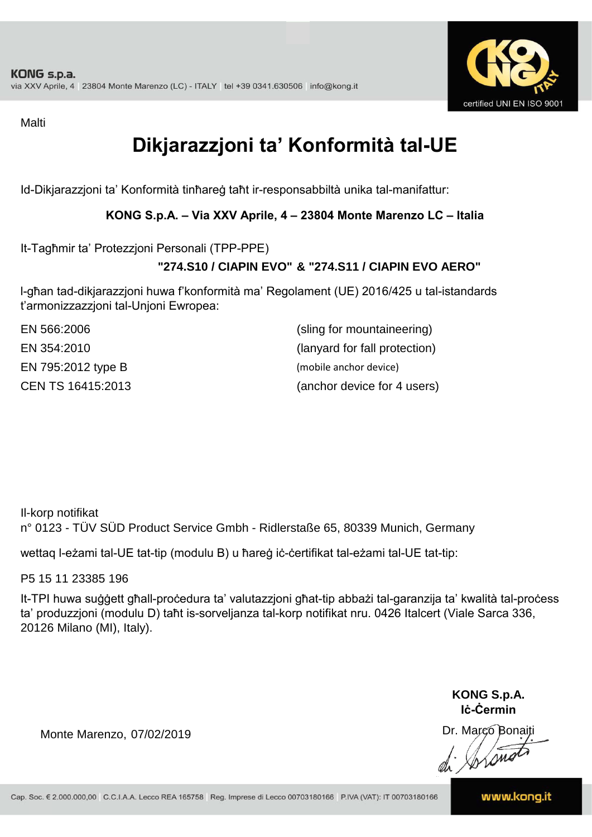

Malti

# **Dikjarazzjoni ta' Konformità tal-UE**

Id-Dikjarazzjoni ta' Konformità tinħareġ taħt ir-responsabbiltà unika tal-manifattur:

### **KONG S.p.A. – Via XXV Aprile, 4 – 23804 Monte Marenzo LC – Italia**

It-Tagħmir ta' Protezzjoni Personali (TPP-PPE)

## **"274.S10 / CIAPIN EVO" & "274.S11 / CIAPIN EVO AERO"**

l-għan tad-dikjarazzjoni huwa f'konformità ma' Regolament (UE) 2016/425 u tal-istandards t'armonizzazzjoni tal-Unjoni Ewropea:

| EN 566:2006        | (sling for mountaineering)    |
|--------------------|-------------------------------|
| EN 354:2010        | (lanyard for fall protection) |
| EN 795:2012 type B | (mobile anchor device)        |
| CEN TS 16415:2013  | (anchor device for 4 users)   |

Il-korp notifikat n° 0123 - TÜV SÜD Product Service Gmbh - Ridlerstaße 65, 80339 Munich, Germany

wettaq l-eżami tal-UE tat-tip (modulu B) u ħareġ iċ-ċertifikat tal-eżami tal-UE tat-tip:

P5 15 11 23385 196

It-TPI huwa suġġett għall-proċedura ta' valutazzjoni għat-tip abbażi tal-garanzija ta' kwalità tal-proċess ta' produzzjoni (modulu D) taħt is-sorveljanza tal-korp notifikat nru. 0426 Italcert (Viale Sarca 336, 20126 Milano (MI), Italy).

> **KONG S.p.A. Iċ-Ċermin**

Dr. Marco Bonaiti di Stonom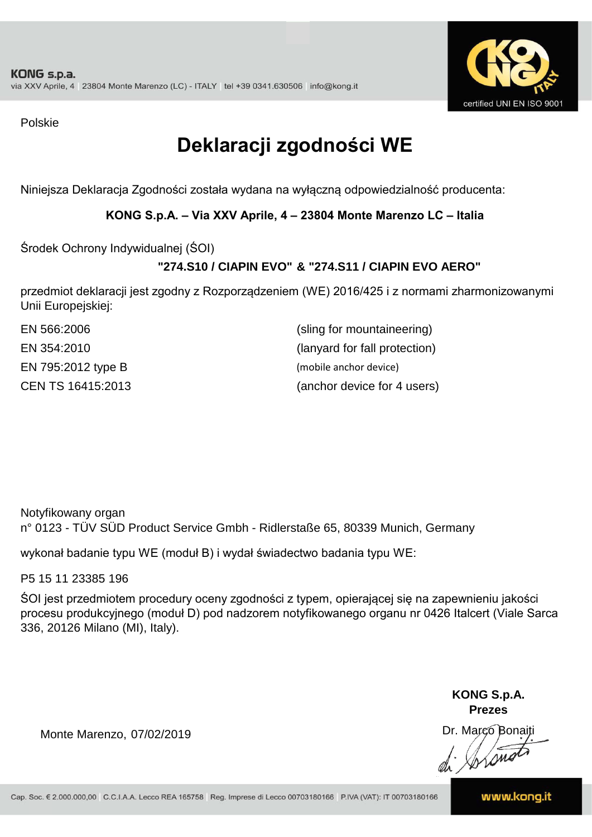

Polskie

# **Deklaracji zgodności WE**

Niniejsza Deklaracja Zgodności została wydana na wyłączną odpowiedzialność producenta:

**KONG S.p.A. – Via XXV Aprile, 4 – 23804 Monte Marenzo LC – Italia**

Środek Ochrony Indywidualnej (ŚOI)

## **"274.S10 / CIAPIN EVO" & "274.S11 / CIAPIN EVO AERO"**

przedmiot deklaracji jest zgodny z Rozporządzeniem (WE) 2016/425 i z normami zharmonizowanymi Unii Europejskiej:

| EN 566:2006        | (sling for mountaineering)    |
|--------------------|-------------------------------|
| EN 354:2010        | (lanyard for fall protection) |
| EN 795:2012 type B | (mobile anchor device)        |
| CEN TS 16415:2013  | (anchor device for 4 users)   |

Notyfikowany organ n° 0123 - TÜV SÜD Product Service Gmbh - Ridlerstaße 65, 80339 Munich, Germany

wykonał badanie typu WE (moduł B) i wydał świadectwo badania typu WE:

P5 15 11 23385 196

ŚOI jest przedmiotem procedury oceny zgodności z typem, opierającej się na zapewnieniu jakości procesu produkcyjnego (moduł D) pod nadzorem notyfikowanego organu nr 0426 Italcert (Viale Sarca 336, 20126 Milano (MI), Italy).

> **KONG S.p.A. Prezes**

Dr. Marco Bonaiti di Aromo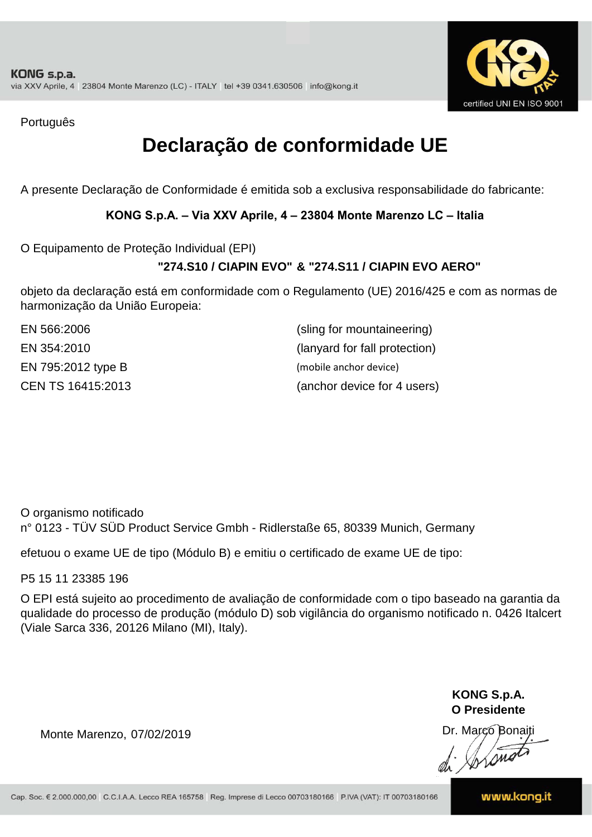

Português

# **Declaração de conformidade UE**

A presente Declaração de Conformidade é emitida sob a exclusiva responsabilidade do fabricante:

### **KONG S.p.A. – Via XXV Aprile, 4 – 23804 Monte Marenzo LC – Italia**

O Equipamento de Proteção Individual (EPI)

### **"274.S10 / CIAPIN EVO" & "274.S11 / CIAPIN EVO AERO"**

objeto da declaração está em conformidade com o Regulamento (UE) 2016/425 e com as normas de harmonização da União Europeia:

| EN 566:2006        | (sling for mountaineering)    |
|--------------------|-------------------------------|
| EN 354:2010        | (lanyard for fall protection) |
| EN 795:2012 type B | (mobile anchor device)        |
| CEN TS 16415:2013  | (anchor device for 4 users)   |

O organismo notificado n° 0123 - TÜV SÜD Product Service Gmbh - Ridlerstaße 65, 80339 Munich, Germany

efetuou o exame UE de tipo (Módulo B) e emitiu o certificado de exame UE de tipo:

P5 15 11 23385 196

O EPI está sujeito ao procedimento de avaliação de conformidade com o tipo baseado na garantia da qualidade do processo de produção (módulo D) sob vigilância do organismo notificado n. 0426 Italcert (Viale Sarca 336, 20126 Milano (MI), Italy).

> **KONG S.p.A. O Presidente**

Dr. Marco Bonaiti di Aromo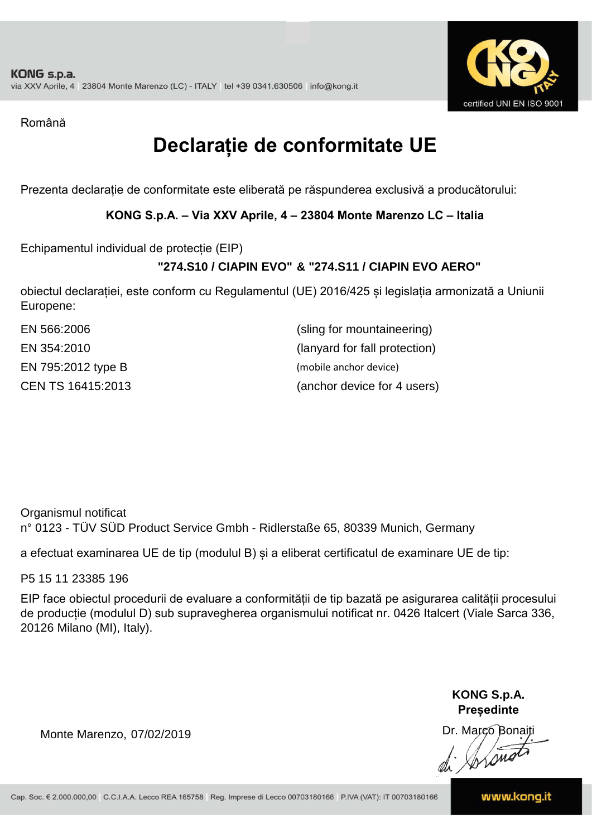

Română

# **Declarație de conformitate UE**

Prezenta declarație de conformitate este eliberată pe răspunderea exclusivă a producătorului:

**KONG S.p.A. – Via XXV Aprile, 4 – 23804 Monte Marenzo LC – Italia**

Echipamentul individual de protecție (EIP)

## **"274.S10 / CIAPIN EVO" & "274.S11 / CIAPIN EVO AERO"**

obiectul declarației, este conform cu Regulamentul (UE) 2016/425 și legislația armonizată a Uniunii Europene:

| EN 566:2006        | (sling for mountaineering)    |
|--------------------|-------------------------------|
| EN 354:2010        | (lanyard for fall protection) |
| EN 795:2012 type B | (mobile anchor device)        |
| CEN TS 16415:2013  | (anchor device for 4 users)   |

Organismul notificat n° 0123 - TÜV SÜD Product Service Gmbh - Ridlerstaße 65, 80339 Munich, Germany

a efectuat examinarea UE de tip (modulul B) și a eliberat certificatul de examinare UE de tip:

P5 15 11 23385 196

EIP face obiectul procedurii de evaluare a conformității de tip bazată pe asigurarea calității procesului de producție (modulul D) sub supravegherea organismului notificat nr. 0426 Italcert (Viale Sarca 336, 20126 Milano (MI), Italy).

> **KONG S.p.A. Președinte**

Dr. Marco Bonaiti di Stonom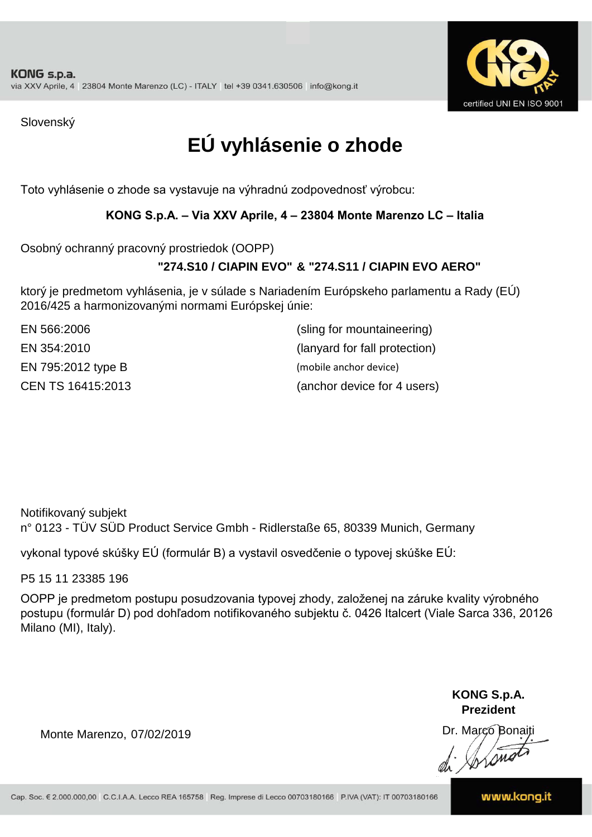

Slovenský

# **EÚ vyhlásenie o zhode**

Toto vyhlásenie o zhode sa vystavuje na výhradnú zodpovednosť výrobcu:

### **KONG S.p.A. – Via XXV Aprile, 4 – 23804 Monte Marenzo LC – Italia**

Osobný ochranný pracovný prostriedok (OOPP)

### **"274.S10 / CIAPIN EVO" & "274.S11 / CIAPIN EVO AERO"**

ktorý je predmetom vyhlásenia, je v súlade s Nariadením Európskeho parlamentu a Rady (EÚ) 2016/425 a harmonizovanými normami Európskej únie:

EN 795:2012 type B (mobile anchor device)

EN 566:2006 (sling for mountaineering) EN 354:2010 (lanyard for fall protection) CEN TS 16415:2013 (anchor device for 4 users)

n° 0123 - TÜV SÜD Product Service Gmbh - Ridlerstaße 65, 80339 Munich, Germany Notifikovaný subjekt

vykonal typové skúšky EÚ (formulár B) a vystavil osvedčenie o typovej skúške EÚ:

P5 15 11 23385 196

OOPP je predmetom postupu posudzovania typovej zhody, založenej na záruke kvality výrobného postupu (formulár D) pod dohľadom notifikovaného subjektu č. 0426 Italcert (Viale Sarca 336, 20126 Milano (MI), Italy).

> **KONG S.p.A. Prezident**

Dr. Marco Bonaiti di Arono

Monte Marenzo, 07/02/2019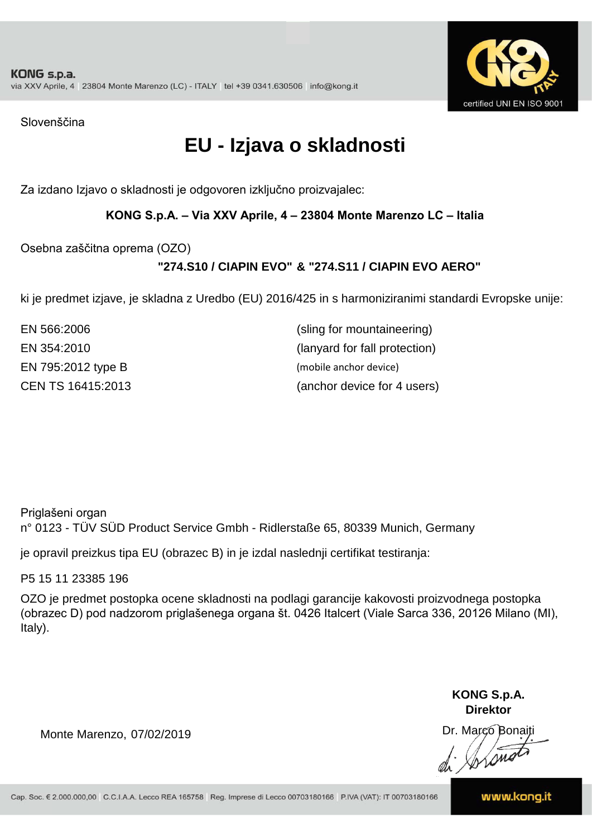

Slovenščina

# **EU - Izjava o skladnosti**

Za izdano Izjavo o skladnosti je odgovoren izključno proizvajalec:

### **KONG S.p.A. – Via XXV Aprile, 4 – 23804 Monte Marenzo LC – Italia**

Osebna zaščitna oprema (OZO)

## **"274.S10 / CIAPIN EVO" & "274.S11 / CIAPIN EVO AERO"**

ki je predmet izjave, je skladna z Uredbo (EU) 2016/425 in s harmoniziranimi standardi Evropske unije:

EN 795:2012 type B (mobile anchor device)

EN 354:2010 (lanyard for fall protection) EN 566:2006 (sling for mountaineering) CEN TS 16415:2013 (anchor device for 4 users)

Priglašeni organ

n° 0123 - TÜV SÜD Product Service Gmbh - Ridlerstaße 65, 80339 Munich, Germany

je opravil preizkus tipa EU (obrazec B) in je izdal naslednji certifikat testiranja:

P5 15 11 23385 196

OZO je predmet postopka ocene skladnosti na podlagi garancije kakovosti proizvodnega postopka (obrazec D) pod nadzorom priglašenega organa št. 0426 Italcert (Viale Sarca 336, 20126 Milano (MI), Italy).

> **KONG S.p.A. Direktor**

Dr. Marco Bonaiti di Arono

Monte Marenzo, 07/02/2019